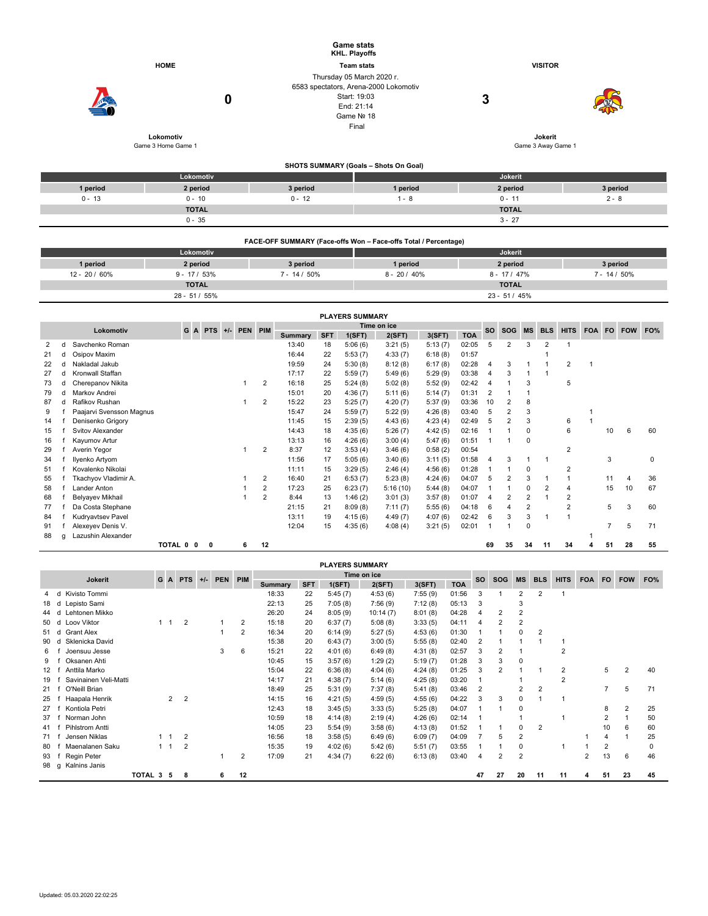|               |                                 | <b>Game stats</b><br><b>KHL. Playoffs</b>                                                                               |                   |                               |                 |
|---------------|---------------------------------|-------------------------------------------------------------------------------------------------------------------------|-------------------|-------------------------------|-----------------|
|               | <b>HOME</b>                     |                                                                                                                         | <b>Team stats</b> | <b>VISITOR</b>                |                 |
|               | 0                               | Thursday 05 March 2020 r.<br>6583 spectators, Arena-2000 Lokomotiv<br>Start: 19:03<br>End: 21:14<br>Game Nº 18<br>Final | 3                 |                               |                 |
|               | Lokomotiv<br>Game 3 Home Game 1 |                                                                                                                         |                   | Jokerit<br>Game 3 Away Game 1 |                 |
|               |                                 | SHOTS SUMMARY (Goals - Shots On Goal)                                                                                   |                   |                               |                 |
|               | Lokomotiv                       |                                                                                                                         |                   | Jokerit                       |                 |
| 1 period      | 2 period                        | 3 period                                                                                                                | 1 period          | 2 period                      | 3 period        |
| $0 - 13$      | $0 - 10$                        | $0 - 12$                                                                                                                | $1 - 8$           | $0 - 11$                      | $2 - 8$         |
|               | <b>TOTAL</b>                    |                                                                                                                         |                   | <b>TOTAL</b>                  |                 |
|               | $0 - 35$                        |                                                                                                                         |                   | $3 - 27$                      |                 |
|               |                                 | FACE-OFF SUMMARY (Face-offs Won - Face-offs Total / Percentage)                                                         |                   |                               |                 |
|               | Lokomotiv                       |                                                                                                                         |                   | Jokerit                       |                 |
| 1 period      | 2 period                        | 3 period                                                                                                                | 1 period          | 2 period                      | 3 period        |
| 12 - 20 / 60% | $9 - 17 / 53%$                  | $7 - 14 / 50\%$                                                                                                         | $8 - 20 / 40\%$   | $8 - 17 / 47\%$               | $7 - 14 / 50\%$ |

| <b>TOTAL</b>      | <b>TOTAL</b> |     |
|-------------------|--------------|-----|
| 55%<br>$28 - 51/$ | $23 - 51$    | 45% |

|    | <b>PLAYERS SUMMARY</b> |                          |         |                     |   |  |   |                |         |             |         |          |         |            |                |                |                |                |                |        |    |            |     |
|----|------------------------|--------------------------|---------|---------------------|---|--|---|----------------|---------|-------------|---------|----------|---------|------------|----------------|----------------|----------------|----------------|----------------|--------|----|------------|-----|
|    |                        | Lokomotiv                |         | G A PTS +/- PEN PIM |   |  |   |                |         | Time on ice |         |          |         |            |                | <b>SOG</b>     | <b>MS</b>      | <b>BLS</b>     | <b>HITS</b>    | FOA FO |    | <b>FOW</b> | FO% |
|    |                        |                          |         |                     |   |  |   |                | Summary | <b>SFT</b>  | 1(SFT)  | 2(SFT)   | 3(SFT)  | <b>TOA</b> | <b>SO</b>      |                |                |                |                |        |    |            |     |
| 2  | d                      | Savchenko Roman          |         |                     |   |  |   |                | 13:40   | 18          | 5:06(6) | 3:21(5)  | 5:13(7) | 02:05      | 5              | $\overline{2}$ | 3              | $\overline{2}$ |                |        |    |            |     |
| 21 | d                      | Osipov Maxim             |         |                     |   |  |   |                | 16:44   | 22          | 5:53(7) | 4:33(7)  | 6:18(8) | 01:57      |                |                |                |                |                |        |    |            |     |
| 22 | d                      | Nakladal Jakub           |         |                     |   |  |   |                | 19:59   | 24          | 5:30(8) | 8:12(8)  | 6:17(8) | 02:28      | $\overline{4}$ | 3              |                |                | 2              |        |    |            |     |
| 27 | d                      | Kronwall Staffan         |         |                     |   |  |   |                | 17:17   | 22          | 5:59(7) | 5:49(6)  | 5:29(9) | 03:38      | 4              | 3              |                |                |                |        |    |            |     |
| 73 | d                      | Cherepanov Nikita        |         |                     |   |  |   | $\overline{2}$ | 16:18   | 25          | 5:24(8) | 5:02(8)  | 5:52(9) | 02:42      | 4              |                | 3              |                | 5              |        |    |            |     |
| 79 | d                      | Markov Andrei            |         |                     |   |  |   |                | 15:01   | 20          | 4:36(7) | 5:11(6)  | 5:14(7) | 01:31      | $\overline{2}$ |                |                |                |                |        |    |            |     |
| 87 | d                      | Rafikov Rushan           |         |                     |   |  |   | $\overline{2}$ | 15:22   | 23          | 5:25(7) | 4:20(7)  | 5:37(9) | 03:36      | 10             | 2              | 8              |                |                |        |    |            |     |
| 9  |                        | Paajarvi Svensson Magnus |         |                     |   |  |   |                | 15:47   | 24          | 5:59(7) | 5:22(9)  | 4:26(8) | 03:40      | 5              | $\overline{2}$ | 3              |                |                |        |    |            |     |
| 14 |                        | Denisenko Grigory        |         |                     |   |  |   |                | 11:45   | 15          | 2:39(5) | 4:43(6)  | 4:23(4) | 02:49      | 5              | $\overline{2}$ | 3              |                | 6              |        |    |            |     |
| 15 |                        | Svitov Alexander         |         |                     |   |  |   |                | 14:43   | 18          | 4:35(6) | 5:26(7)  | 4:42(5) | 02:16      |                |                | 0              |                | 6              |        | 10 | 6          | 60  |
| 16 |                        | Kayumov Artur            |         |                     |   |  |   |                | 13:13   | 16          | 4:26(6) | 3:00(4)  | 5:47(6) | 01:51      |                |                | 0              |                |                |        |    |            |     |
| 29 |                        | Averin Yegor             |         |                     |   |  |   | 2              | 8:37    | 12          | 3:53(4) | 3:46(6)  | 0:58(2) | 00:54      |                |                |                |                | $\overline{2}$ |        |    |            |     |
| 34 |                        | Ilyenko Artyom           |         |                     |   |  |   |                | 11:56   | 17          | 5:05(6) | 3:40(6)  | 3:11(5) | 01:58      | $\overline{4}$ | 3              |                |                |                |        | 3  |            | 0   |
| 51 |                        | Kovalenko Nikolai        |         |                     |   |  |   |                | 11:11   | 15          | 3:29(5) | 2:46(4)  | 4:56(6) | 01:28      |                |                | 0              |                | 2              |        |    |            |     |
| 55 |                        | Tkachyov Vladimir A.     |         |                     |   |  |   | $\overline{2}$ | 16:40   | 21          | 6:53(7) | 5:23(8)  | 4:24(6) | 04:07      | 5              | $\overline{2}$ | 3              |                |                |        | 11 | 4          | 36  |
| 58 |                        | <b>Lander Anton</b>      |         |                     |   |  |   | 2              | 17:23   | 25          | 6:23(7) | 5:16(10) | 5:44(8) | 04:07      |                |                | 0              | 2              | 4              |        | 15 | 10         | 67  |
| 68 |                        | Belyayev Mikhail         |         |                     |   |  |   | $\overline{2}$ | 8:44    | 13          | 1:46(2) | 3:01(3)  | 3:57(8) | 01:07      | $\overline{4}$ | $\overline{2}$ | $\overline{2}$ |                | 2              |        |    |            |     |
| 77 |                        | Da Costa Stephane        |         |                     |   |  |   |                | 21:15   | 21          | 8:09(8) | 7:11(7)  | 5:55(6) | 04:18      | 6              |                | $\overline{2}$ |                | $\overline{2}$ |        | 5  | 3          | 60  |
| 84 |                        | Kudryavtsev Pavel        |         |                     |   |  |   |                | 13:11   | 19          | 4:15(6) | 4:49(7)  | 4:07(6) | 02:42      | 6              | 3              | 3              |                |                |        |    |            |     |
| 91 |                        | Alexeyev Denis V.        |         |                     |   |  |   |                | 12:04   | 15          | 4:35(6) | 4:08(4)  | 3:21(5) | 02:01      |                |                | 0              |                |                |        |    | 5          | 71  |
| 88 | a                      | Lazushin Alexander       |         |                     |   |  |   |                |         |             |         |          |         |            |                |                |                |                |                |        |    |            |     |
|    |                        |                          | TOTAL 0 | $\mathbf{0}$        | 0 |  | 6 | 12             |         |             |         |          |         |            | 69             | 35             | 34             | 11             | 34             |        | 51 | 28         | 55  |

|         | <b>PLAYERS SUMMARY</b> |           |             |             |                |       |         |                |         |             |         |          |         |            |           |            |           |                |                |            |                |                |          |
|---------|------------------------|-----------|-------------|-------------|----------------|-------|---------|----------------|---------|-------------|---------|----------|---------|------------|-----------|------------|-----------|----------------|----------------|------------|----------------|----------------|----------|
| Jokerit |                        |           |             | G A PTS     |                | $+/-$ | PEN PIM |                |         | Time on ice |         |          |         |            |           | <b>SOG</b> | <b>MS</b> | <b>BLS</b>     | <b>HITS</b>    | <b>FOA</b> | <b>FO</b>      | <b>FOW</b>     | FO%      |
|         |                        |           |             |             |                |       |         |                | Summary | <b>SFT</b>  | 1(SFT)  | 2(SFT)   | 3(SFT)  | <b>TOA</b> | <b>SO</b> |            |           |                |                |            |                |                |          |
| 4       | Kivisto Tommi<br>d     |           |             |             |                |       |         |                | 18:33   | 22          | 5:45(7) | 4:53(6)  | 7:55(9) | 01:56      | 3         |            | 2         | $\overline{2}$ |                |            |                |                |          |
| 18      | Lepisto Sami<br>d      |           |             |             |                |       |         |                | 22:13   | 25          | 7:05(8) | 7:56(9)  | 7:12(8) | 05:13      | -3        |            | 3         |                |                |            |                |                |          |
| 44      | Lehtonen Mikko<br>d    |           |             |             |                |       |         |                | 26:20   | 24          | 8:05(9) | 10:14(7) | 8:01(8) | 04:28      | 4         | 2          | 2         |                |                |            |                |                |          |
| 50      | Loov Viktor<br>d       |           | 1           |             | $\overline{2}$ |       |         | $\overline{2}$ | 15:18   | 20          | 6:37(7) | 5:08(8)  | 3:33(5) | 04:11      | 4         | 2          | 2         |                |                |            |                |                |          |
| 51 d    | Grant Alex             |           |             |             |                |       |         | $\overline{2}$ | 16:34   | 20          | 6:14(9) | 5:27(5)  | 4:53(6) | 01:30      |           |            | 0         | $\overline{2}$ |                |            |                |                |          |
| 90      | Sklenicka David<br>d   |           |             |             |                |       |         |                | 15:38   | 20          | 6:43(7) | 3:00(5)  | 5:55(8) | 02:40      | 2         |            |           |                |                |            |                |                |          |
| 6       | Joensuu Jesse          |           |             |             |                |       | 3       | 6              | 15:21   | 22          | 4:01(6) | 6:49(8)  | 4:31(8) | 02:57      | 3         | 2          |           |                | $\overline{2}$ |            |                |                |          |
| 9       | Oksanen Ahti           |           |             |             |                |       |         |                | 10:45   | 15          | 3:57(6) | 1:29(2)  | 5:19(7) | 01:28      | 3         | 3          | 0         |                |                |            |                |                |          |
| 12      | Anttila Marko          |           |             |             |                |       |         |                | 15:04   | 22          | 6:36(8) | 4:04(6)  | 4:24(8) | 01:25      | 3         | 2          |           |                | 2              |            | 5              | $\overline{2}$ | 40       |
| 19      | Savinainen Veli-Matti  |           |             |             |                |       |         |                | 14:17   | 21          | 4:38(7) | 5:14(6)  | 4:25(8) | 03:20      |           |            |           |                | $\overline{2}$ |            |                |                |          |
| 21      | O'Neill Brian          |           |             |             |                |       |         |                | 18:49   | 25          | 5:31(9) | 7:37(8)  | 5:41(8) | 03:46      | 2         |            | 2         | 2              |                |            |                | 5              | 71       |
| 25      | Haapala Henrik         |           |             | $2^{\circ}$ | $\overline{2}$ |       |         |                | 14:15   | 16          | 4:21(5) | 4:59(5)  | 4:55(6) | 04:22      | 3         | 3          | 0         |                | 1              |            |                |                |          |
| 27      | Kontiola Petri         |           |             |             |                |       |         |                | 12:43   | 18          | 3:45(5) | 3:33(5)  | 5:25(8) | 04:07      |           |            | 0         |                |                |            | 8              | $\overline{2}$ | 25       |
| 37      | Norman John            |           |             |             |                |       |         |                | 10:59   | 18          | 4:14(8) | 2:19(4)  | 4:26(6) | 02:14      |           |            |           |                | 1              |            | 2              | $\mathbf 1$    | 50       |
| 41      | Pihlstrom Antti        |           |             |             |                |       |         |                | 14:05   | 23          | 5:54(9) | 3:58(6)  | 4:13(8) | 01:52      |           |            | 0         | 2              |                |            | 10             | 6              | 60       |
| 71      | Jensen Niklas          |           | $1 \quad 1$ |             | $\overline{2}$ |       |         |                | 16:56   | 18          | 3:58(5) | 6:49(6)  | 6:09(7) | 04:09      |           | 5          | 2         |                |                |            | 4              |                | 25       |
| 80      | Maenalanen Saku        |           | $1 \quad 1$ |             | $\overline{2}$ |       |         |                | 15:35   | 19          | 4:02(6) | 5:42(6)  | 5:51(7) | 03:55      |           |            | 0         |                |                |            | $\overline{2}$ |                | $\Omega$ |
| 93      | Regin Peter            |           |             |             |                |       |         | $\overline{2}$ | 17:09   | 21          | 4:34(7) | 6:22(6)  | 6:13(8) | 03:40      | 4         | 2          | 2         |                |                | 2          | 13             | 6              | 46       |
| 98 g    | Kalnins Janis          |           |             |             |                |       |         |                |         |             |         |          |         |            |           |            |           |                |                |            |                |                |          |
|         |                        | TOTAL 3 5 |             |             | 8              |       | 6       | 12             |         |             |         |          |         |            | 47        | 27         | 20        | 11             | 11             | 4          | 51             | 23             | 45       |